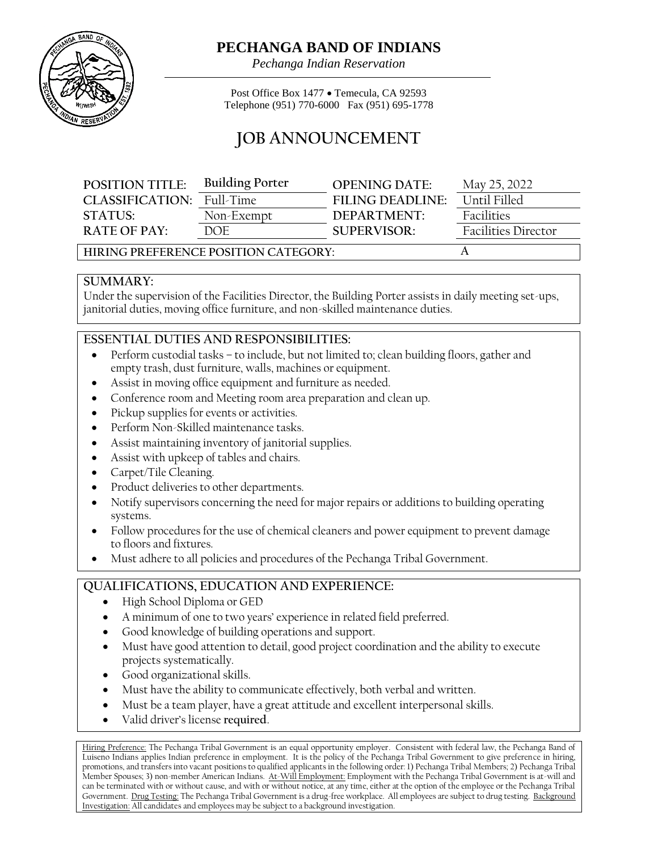

## **PECHANGA BAND OF INDIANS**

*Pechanga Indian Reservation*

Post Office Box 1477 • Temecula, CA 92593 Telephone (951) 770-6000 Fax (951) 695-1778

# **JOB ANNOUNCEMENT**

| <b>POSITION TITLE:</b>               | <b>Building Porter</b> | <b>OPENING DATE:</b> | May 25, 2022               |
|--------------------------------------|------------------------|----------------------|----------------------------|
| <b>CLASSIFICATION:</b>               | Full-Time              | FII ING DEADI INF:   | Until Filled               |
| STATUS:                              | Non-Exempt             | DEPARTMENT:          | Facilities                 |
| $R$ ATF OF PAY:                      | DOE.                   | <b>SUPERVISOR:</b>   | <b>Facilities Director</b> |
| HIRING PREFERENCE POSITION CATEGORY: |                        |                      |                            |

#### **SUMMARY:**

Under the supervision of the Facilities Director, the Building Porter assists in daily meeting set-ups, janitorial duties, moving office furniture, and non-skilled maintenance duties.

#### **ESSENTIAL DUTIES AND RESPONSIBILITIES:**

- Perform custodial tasks to include, but not limited to; clean building floors, gather and empty trash, dust furniture, walls, machines or equipment.
- Assist in moving office equipment and furniture as needed.
- Conference room and Meeting room area preparation and clean up.
- Pickup supplies for events or activities.
- Perform Non-Skilled maintenance tasks.
- Assist maintaining inventory of janitorial supplies.
- Assist with upkeep of tables and chairs.
- Carpet/Tile Cleaning.
- Product deliveries to other departments.
- Notify supervisors concerning the need for major repairs or additions to building operating systems.
- Follow procedures for the use of chemical cleaners and power equipment to prevent damage to floors and fixtures.
- Must adhere to all policies and procedures of the Pechanga Tribal Government.

### **QUALIFICATIONS, EDUCATION AND EXPERIENCE:**

- High School Diploma or GED
- A minimum of one to two years' experience in related field preferred.
- Good knowledge of building operations and support.
- Must have good attention to detail, good project coordination and the ability to execute projects systematically.
- Good organizational skills.
- Must have the ability to communicate effectively, both verbal and written.
- Must be a team player, have a great attitude and excellent interpersonal skills.
- Valid driver's license **required**.

Hiring Preference: The Pechanga Tribal Government is an equal opportunity employer. Consistent with federal law, the Pechanga Band of Luiseno Indians applies Indian preference in employment. It is the policy of the Pechanga Tribal Government to give preference in hiring, promotions, and transfers into vacant positions to qualified applicants in the following order: 1) Pechanga Tribal Members; 2) Pechanga Tribal Member Spouses; 3) non-member American Indians. At-Will Employment: Employment with the Pechanga Tribal Government is at-will and can be terminated with or without cause, and with or without notice, at any time, either at the option of the employee or the Pechanga Tribal Government. Drug Testing: The Pechanga Tribal Government is a drug-free workplace. All employees are subject to drug testing. Background Investigation: All candidates and employees may be subject to a background investigation.